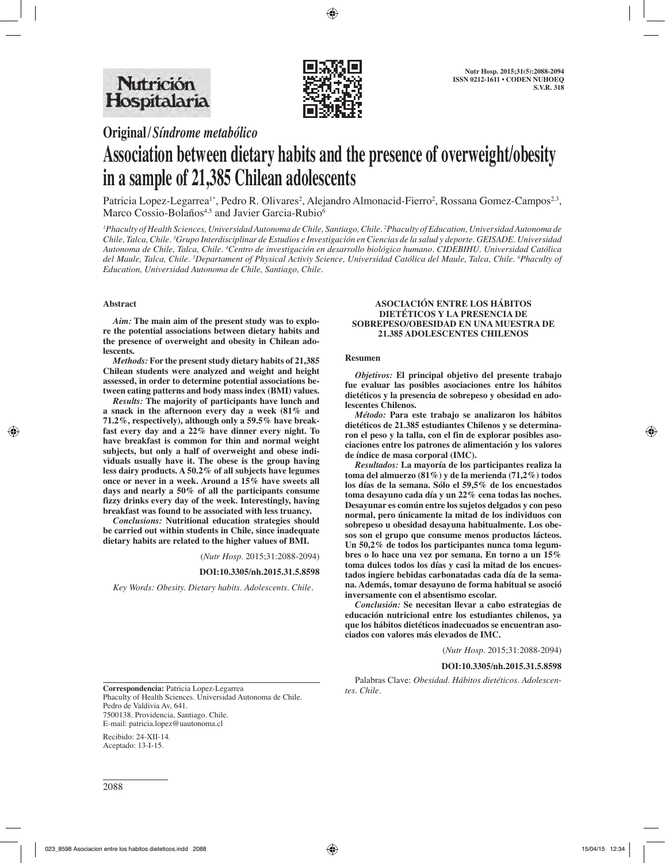

**Original/***Síndrome metabólico*

# **Association between dietary habits and the presence of overweight/obesity in a sample of 21,385 Chilean adolescents**

Patricia Lopez-Legarrea<sup>1\*</sup>, Pedro R. Olivares<sup>2</sup>, Alejandro Almonacid-Fierro<sup>2</sup>, Rossana Gomez-Campos<sup>2,3</sup>, Marco Cossio-Bolaños<sup>4,5</sup> and Javier Garcia-Rubio<sup>6</sup>

*1 Phaculty of Health Sciences, Universidad Autonoma de Chile, Santiago, Chile. 2 Phaculty of Education, Universidad Autonoma de Chile, Talca, Chile. 3 Grupo Interdisciplinar de Estudios e Investigación en Ciencias de la salud y deporte. GEISADE. Universidad Autonoma de Chile, Talca, Chile. 4 Centro de investigación en desarrollo biológico humano. CIDEBIHU. Universidad Católica del Maule, Talca, Chile. 5 Departament of Physical Activiy Science, Universidad Católica del Maule, Talca, Chile. 6 Phaculty of Education, Universidad Autonoma de Chile, Santiago, Chile.*

## **Abstract**

*Aim:* **The main aim of the present study was to explore the potential associations between dietary habits and the presence of overweight and obesity in Chilean adolescents.**

*Methods:* **For the present study dietary habits of 21,385 Chilean students were analyzed and weight and height assessed, in order to determine potential associations between eating patterns and body mass index (BMI) values.**

*Results:* **The majority of participants have lunch and a snack in the afternoon every day a week (81% and 71.2%, respectively), although only a 59.5% have breakfast every day and a 22% have dinner every night. To have breakfast is common for thin and normal weight subjects, but only a half of overweight and obese individuals usually have it. The obese is the group having less dairy products. A 50.2% of all subjects have legumes once or never in a week. Around a 15% have sweets all days and nearly a 50% of all the participants consume fizzy drinks every day of the week. Interestingly, having breakfast was found to be associated with less truancy.**

*Conclusions:* **Nutritional education strategies should be carried out within students in Chile, since inadequate dietary habits are related to the higher values of BMI.**

(*Nutr Hosp.* 2015;31:2088-2094)

#### **DOI:10.3305/nh.2015.31.5.8598**

*Key Words: Obesity. Dietary habits. Adolescents. Chile.*

#### **ASOCIACIÓN ENTRE LOS HÁBITOS DIETÉTICOS Y LA PRESENCIA DE SOBREPESO/OBESIDAD EN UNA MUESTRA DE 21.385 ADOLESCENTES CHILENOS**

#### **Resumen**

*Objetivos:* **El principal objetivo del presente trabajo fue evaluar las posibles asociaciones entre los hábitos dietéticos y la presencia de sobrepeso y obesidad en adolescentes Chilenos.**

*Método:* **Para este trabajo se analizaron los hábitos dietéticos de 21.385 estudiantes Chilenos y se determinaron el peso y la talla, con el fin de explorar posibles asociaciones entre los patrones de alimentación y los valores de índice de masa corporal (IMC).**

*Resultados:* **La mayoría de los participantes realiza la toma del almuerzo (81%) y de la merienda (71,2%) todos los días de la semana. Sólo el 59,5% de los encuestados toma desayuno cada día y un 22% cena todas las noches. Desayunar es común entre los sujetos delgados y con peso normal, pero únicamente la mitad de los individuos con sobrepeso u obesidad desayuna habitualmente. Los obesos son el grupo que consume menos productos lácteos. Un 50,2% de todos los participantes nunca toma legumbres o lo hace una vez por semana. En torno a un 15% toma dulces todos los días y casi la mitad de los encuestados ingiere bebidas carbonatadas cada día de la semana. Además, tomar desayuno de forma habitual se asoció inversamente con el absentismo escolar.**

*Conclusión:* **Se necesitan llevar a cabo estrategias de educación nutricional entre los estudiantes chilenos, ya que los hábitos dietéticos inadecuados se encuentran asociados con valores más elevados de IMC.**

(*Nutr Hosp.* 2015;31:2088-2094)

#### **DOI:10.3305/nh.2015.31.5.8598**

Palabras Clave: *Obesidad. Hábitos dietéticos. Adolescen-* **Correspondencia:** *tes. Chile.* Patricia Lopez-Legarrea

Phaculty of Health Sciences. Universidad Autonoma de Chile. Pedro de Valdivia Av, 641. 7500138. Providencia, Santiago. Chile. E-mail: patricia.lopez@uautonoma.cl

Recibido: 24-XII-14. Aceptado: 13-I-15.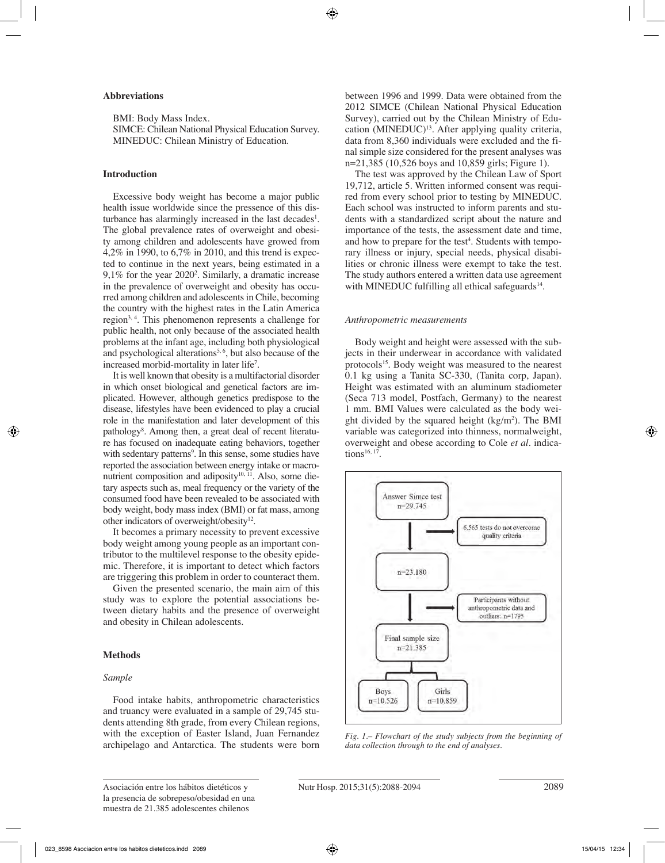## **Abbreviations**

BMI: Body Mass Index. SIMCE: Chilean National Physical Education Survey. MINEDUC: Chilean Ministry of Education.

## **Introduction**

Excessive body weight has become a major public health issue worldwide since the pressence of this disturbance has alarmingly increased in the last decades<sup>1</sup>. The global prevalence rates of overweight and obesity among children and adolescents have growed from 4,2% in 1990, to 6,7% in 2010, and this trend is expected to continue in the next years, being estimated in a 9,1% for the year 20202 . Similarly, a dramatic increase in the prevalence of overweight and obesity has occurred among children and adolescents in Chile, becoming the country with the highest rates in the Latin America region3, 4. This phenomenon represents a challenge for public health, not only because of the associated health problems at the infant age, including both physiological and psychological alterations<sup>5,  $6$ </sup>, but also because of the increased morbid-mortality in later life7 .

It is well known that obesity is a multifactorial disorder in which onset biological and genetical factors are implicated. However, although genetics predispose to the disease, lifestyles have been evidenced to play a crucial role in the manifestation and later development of this pathology<sup>8</sup>. Among then, a great deal of recent literature has focused on inadequate eating behaviors, together with sedentary patterns<sup>9</sup>. In this sense, some studies have reported the association between energy intake or macronutrient composition and adiposity $10$ ,  $11$ . Also, some dietary aspects such as, meal frequency or the variety of the consumed food have been revealed to be associated with body weight, body mass index (BMI) or fat mass, among other indicators of overweight/obesity<sup>12</sup>.

It becomes a primary necessity to prevent excessive body weight among young people as an important contributor to the multilevel response to the obesity epidemic. Therefore, it is important to detect which factors are triggering this problem in order to counteract them.

Given the presented scenario, the main aim of this study was to explore the potential associations between dietary habits and the presence of overweight and obesity in Chilean adolescents.

## **Methods**

## *Sample*

Food intake habits, anthropometric characteristics and truancy were evaluated in a sample of 29,745 students attending 8th grade, from every Chilean regions, with the exception of Easter Island, Juan Fernandez archipelago and Antarctica. The students were born

between 1996 and 1999. Data were obtained from the 2012 SIMCE (Chilean National Physical Education Survey), carried out by the Chilean Ministry of Education (MINEDUC)<sup>13</sup>. After applying quality criteria, data from 8,360 individuals were excluded and the final simple size considered for the present analyses was n=21,385 (10,526 boys and 10,859 girls; Figure 1).

The test was approved by the Chilean Law of Sport 19,712, article 5. Written informed consent was required from every school prior to testing by MINEDUC. Each school was instructed to inform parents and students with a standardized script about the nature and importance of the tests, the assessment date and time, and how to prepare for the test<sup>4</sup>. Students with temporary illness or injury, special needs, physical disabilities or chronic illness were exempt to take the test. The study authors entered a written data use agreement with MINEDUC fulfilling all ethical safeguards $14$ .

#### *Anthropometric measurements*

Body weight and height were assessed with the subjects in their underwear in accordance with validated protocols<sup>15</sup>. Body weight was measured to the nearest 0.1 kg using a Tanita SC-330, (Tanita corp, Japan). Height was estimated with an aluminum stadiometer (Seca 713 model, Postfach, Germany) to the nearest 1 mm. BMI Values were calculated as the body weight divided by the squared height  $(kg/m<sup>2</sup>)$ . The BMI variable was categorized into thinness, normalweight, overweight and obese according to Cole *et al.* indications<sup>16, 17</sup>.



*Fig. 1.– Flowchart of the study subjects from the beginning of data collection through to the end of analyses.*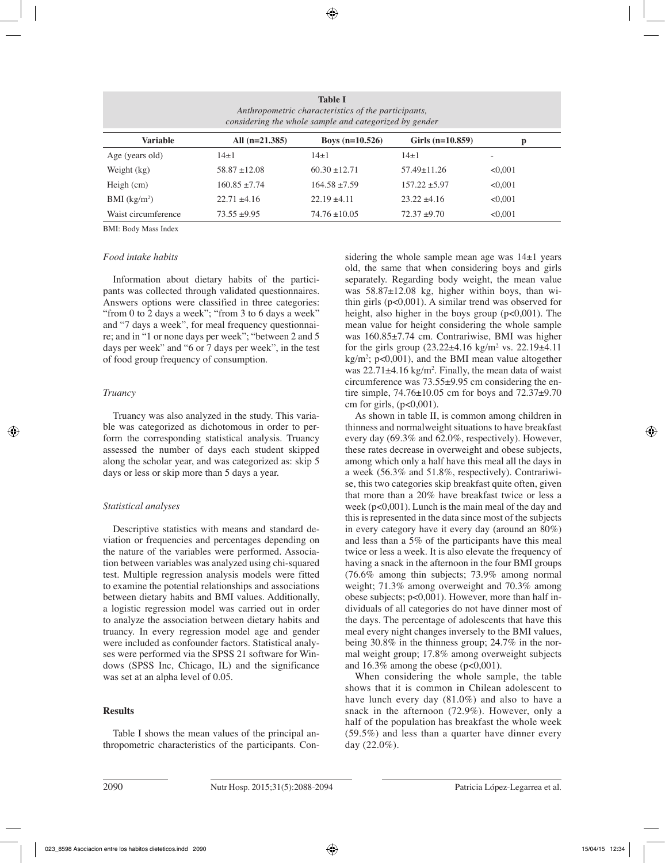| <b>Table I</b><br>Anthropometric characteristics of the participants,<br>considering the whole sample and categorized by gender |                   |                   |                    |                          |  |  |  |
|---------------------------------------------------------------------------------------------------------------------------------|-------------------|-------------------|--------------------|--------------------------|--|--|--|
| <b>Variable</b>                                                                                                                 | All $(n=21.385)$  | Boys $(n=10.526)$ | Girls $(n=10.859)$ | p                        |  |  |  |
| Age (years old)                                                                                                                 | $14\pm1$          | $14 \pm 1$        | $14\pm1$           | $\overline{\phantom{0}}$ |  |  |  |
| Weight (kg)                                                                                                                     | $58.87 \pm 12.08$ | $60.30 \pm 12.71$ | $57.49 \pm 11.26$  | < 0.001                  |  |  |  |
| Heigh $(cm)$                                                                                                                    | $160.85 \pm 7.74$ | $164.58 \pm 7.59$ | $157.22 \pm 5.97$  | < 0.001                  |  |  |  |
| BMI $(kg/m2)$                                                                                                                   | $22.71 \pm 4.16$  | $22.19 \pm 4.11$  | $23.22 \pm 4.16$   | < 0.001                  |  |  |  |
| Waist circumference                                                                                                             | $73.55 \pm 9.95$  | $74.76 \pm 10.05$ | $72.37 + 9.70$     | < 0.001                  |  |  |  |

BMI: Body Mass Index

### *Food intake habits*

Information about dietary habits of the participants was collected through validated questionnaires. Answers options were classified in three categories: "from 0 to 2 days a week"; "from 3 to 6 days a week" and "7 days a week", for meal frequency questionnaire; and in "1 or none days per week"; "between 2 and 5 days per week" and "6 or 7 days per week", in the test of food group frequency of consumption.

### *Truancy*

Truancy was also analyzed in the study. This variable was categorized as dichotomous in order to perform the corresponding statistical analysis. Truancy assessed the number of days each student skipped along the scholar year, and was categorized as: skip 5 days or less or skip more than 5 days a year.

## *Statistical analyses*

Descriptive statistics with means and standard deviation or frequencies and percentages depending on the nature of the variables were performed. Association between variables was analyzed using chi-squared test. Multiple regression analysis models were fitted to examine the potential relationships and associations between dietary habits and BMI values. Additionally, a logistic regression model was carried out in order to analyze the association between dietary habits and truancy. In every regression model age and gender were included as confounder factors. Statistical analyses were performed via the SPSS 21 software for Windows (SPSS Inc, Chicago, IL) and the significance was set at an alpha level of 0.05.

## **Results**

Table I shows the mean values of the principal anthropometric characteristics of the participants. Considering the whole sample mean age was 14±1 years old, the same that when considering boys and girls separately. Regarding body weight, the mean value was 58.87±12.08 kg, higher within boys, than within girls (p<0,001). A similar trend was observed for height, also higher in the boys group  $(p<0,001)$ . The mean value for height considering the whole sample was 160.85±7.74 cm. Contrariwise, BMI was higher for the girls group  $(23.22 \pm 4.16 \text{ kg/m}^2 \text{ vs. } 22.19 \pm 4.11)$ kg/m2 ; p<0,001), and the BMI mean value altogether was  $22.71\pm4.16$  kg/m<sup>2</sup>. Finally, the mean data of waist circumference was 73.55±9.95 cm considering the entire simple, 74.76±10.05 cm for boys and 72.37±9.70 cm for girls,  $(p<0,001)$ .

As shown in table II, is common among children in thinness and normalweight situations to have breakfast every day (69.3% and 62.0%, respectively). However, these rates decrease in overweight and obese subjects, among which only a half have this meal all the days in a week (56.3% and 51.8%, respectively). Contrariwise, this two categories skip breakfast quite often, given that more than a 20% have breakfast twice or less a week (p<0,001). Lunch is the main meal of the day and this is represented in the data since most of the subjects in every category have it every day (around an 80%) and less than a 5% of the participants have this meal twice or less a week. It is also elevate the frequency of having a snack in the afternoon in the four BMI groups (76.6% among thin subjects; 73.9% among normal weight; 71.3% among overweight and 70.3% among obese subjects; p<0,001). However, more than half individuals of all categories do not have dinner most of the days. The percentage of adolescents that have this meal every night changes inversely to the BMI values, being 30.8% in the thinness group; 24.7% in the normal weight group; 17.8% among overweight subjects and  $16.3\%$  among the obese (p<0,001).

When considering the whole sample, the table shows that it is common in Chilean adolescent to have lunch every day (81.0%) and also to have a snack in the afternoon (72.9%). However, only a half of the population has breakfast the whole week (59.5%) and less than a quarter have dinner every day (22.0%).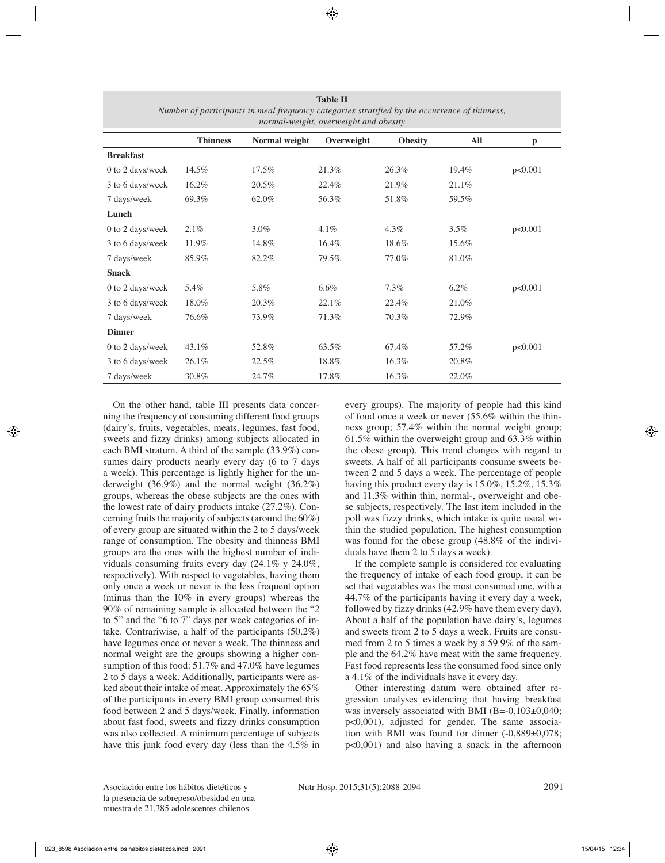| normal-weight, overweight and obesity |                 |               |            |                |         |              |
|---------------------------------------|-----------------|---------------|------------|----------------|---------|--------------|
|                                       | <b>Thinness</b> | Normal weight | Overweight | <b>Obesity</b> | All     | $\mathbf{p}$ |
| <b>Breakfast</b>                      |                 |               |            |                |         |              |
| 0 to 2 days/week                      | 14.5%           | 17.5%         | 21.3%      | 26.3%          | 19.4%   | p<0.001      |
| 3 to 6 days/week                      | 16.2%           | 20.5%         | 22.4%      | 21.9%          | 21.1%   |              |
| 7 days/week                           | 69.3%           | 62.0%         | 56.3%      | 51.8%          | 59.5%   |              |
| Lunch                                 |                 |               |            |                |         |              |
| 0 to 2 days/week                      | 2.1%            | $3.0\%$       | 4.1%       | 4.3%           | 3.5%    | p<0.001      |
| 3 to 6 days/week                      | 11.9%           | 14.8%         | 16.4%      | 18.6%          | 15.6%   |              |
| 7 days/week                           | 85.9%           | 82.2%         | 79.5%      | 77.0%          | 81.0%   |              |
| <b>Snack</b>                          |                 |               |            |                |         |              |
| 0 to 2 days/week                      | 5.4%            | 5.8%          | $6.6\%$    | $7.3\%$        | $6.2\%$ | p<0.001      |
| 3 to 6 days/week                      | 18.0%           | 20.3%         | 22.1%      | 22.4%          | 21.0%   |              |
| 7 days/week                           | 76.6%           | 73.9%         | 71.3%      | 70.3%          | 72.9%   |              |
| <b>Dinner</b>                         |                 |               |            |                |         |              |
| 0 to 2 days/week                      | 43.1%           | 52.8%         | 63.5%      | 67.4%          | 57.2%   | p<0.001      |
| 3 to 6 days/week                      | 26.1%           | 22.5%         | 18.8%      | 16.3%          | 20.8%   |              |
| 7 days/week                           | 30.8%           | 24.7%         | 17.8%      | 16.3%          | 22.0%   |              |

**Table II** *Number of participants in meal frequency categories stratified by the occurrence of thinness,* 

On the other hand, table III presents data concerning the frequency of consuming different food groups (dairy's, fruits, vegetables, meats, legumes, fast food, sweets and fizzy drinks) among subjects allocated in each BMI stratum. A third of the sample (33.9%) consumes dairy products nearly every day (6 to 7 days a week). This percentage is lightly higher for the underweight (36.9%) and the normal weight (36.2%) groups, whereas the obese subjects are the ones with the lowest rate of dairy products intake (27.2%). Concerning fruits the majority of subjects (around the 60%) of every group are situated within the 2 to 5 days/week range of consumption. The obesity and thinness BMI groups are the ones with the highest number of individuals consuming fruits every day (24.1% y 24.0%, respectively). With respect to vegetables, having them only once a week or never is the less frequent option (minus than the 10% in every groups) whereas the 90% of remaining sample is allocated between the "2 to 5" and the "6 to 7" days per week categories of intake. Contrariwise, a half of the participants (50.2%) have legumes once or never a week. The thinness and normal weight are the groups showing a higher consumption of this food: 51.7% and 47.0% have legumes 2 to 5 days a week. Additionally, participants were asked about their intake of meat. Approximately the 65% of the participants in every BMI group consumed this food between 2 and 5 days/week. Finally, information about fast food, sweets and fizzy drinks consumption was also collected. A minimum percentage of subjects have this junk food every day (less than the 4.5% in every groups). The majority of people had this kind of food once a week or never (55.6% within the thinness group; 57.4% within the normal weight group; 61.5% within the overweight group and 63.3% within the obese group). This trend changes with regard to sweets. A half of all participants consume sweets between 2 and 5 days a week. The percentage of people having this product every day is 15.0%, 15.2%, 15.3% and 11.3% within thin, normal-, overweight and obese subjects, respectively. The last item included in the poll was fizzy drinks, which intake is quite usual within the studied population. The highest consumption was found for the obese group (48.8% of the individuals have them 2 to 5 days a week).

If the complete sample is considered for evaluating the frequency of intake of each food group, it can be set that vegetables was the most consumed one, with a 44.7% of the participants having it every day a week, followed by fizzy drinks (42.9% have them every day). About a half of the population have dairy´s, legumes and sweets from 2 to 5 days a week. Fruits are consumed from 2 to 5 times a week by a 59.9% of the sample and the 64.2% have meat with the same frequency. Fast food represents less the consumed food since only a 4.1% of the individuals have it every day.

Other interesting datum were obtained after regression analyses evidencing that having breakfast was inversely associated with BMI (B=-0,103±0,040; p<0,001), adjusted for gender. The same association with BMI was found for dinner (-0,889±0,078; p<0,001) and also having a snack in the afternoon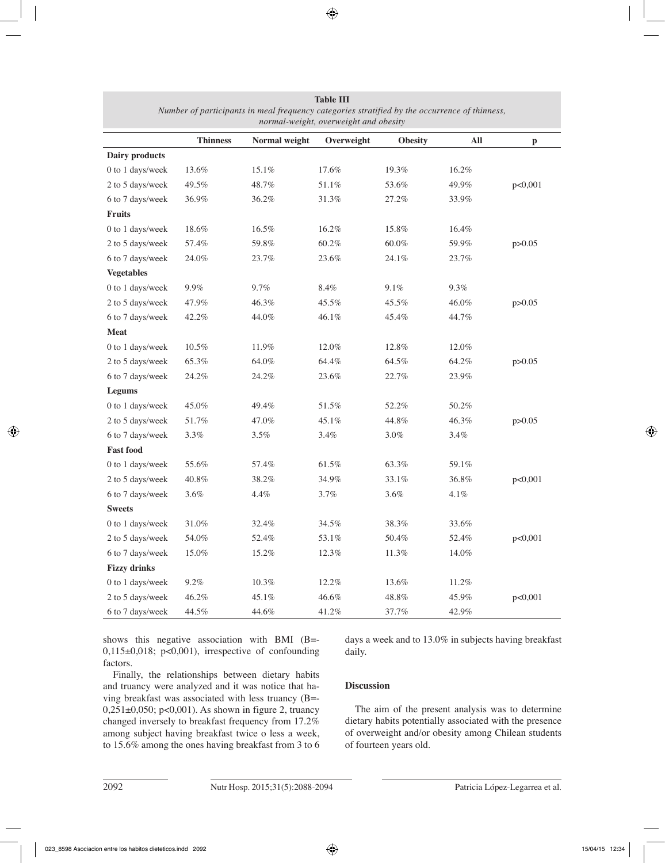| normal weight, over weight and obesit |                 |               |            |                |         |              |
|---------------------------------------|-----------------|---------------|------------|----------------|---------|--------------|
|                                       | <b>Thinness</b> | Normal weight | Overweight | <b>Obesity</b> | All     | $\mathbf{p}$ |
| Dairy products                        |                 |               |            |                |         |              |
| 0 to 1 days/week                      | 13.6%           | 15.1%         | 17.6%      | 19.3%          | 16.2%   |              |
| 2 to 5 days/week                      | 49.5%           | 48.7%         | 51.1%      | 53.6%          | 49.9%   | p<0,001      |
| 6 to 7 days/week                      | 36.9%           | 36.2%         | 31.3%      | 27.2%          | 33.9%   |              |
| Fruits                                |                 |               |            |                |         |              |
| 0 to 1 days/week                      | 18.6%           | 16.5%         | 16.2%      | 15.8%          | 16.4%   |              |
| 2 to 5 days/week                      | 57.4%           | 59.8%         | $60.2\%$   | $60.0\%$       | 59.9%   | p > 0.05     |
| 6 to 7 days/week                      | 24.0%           | 23.7%         | 23.6%      | 24.1%          | 23.7%   |              |
| <b>Vegetables</b>                     |                 |               |            |                |         |              |
| 0 to 1 days/week                      | $9.9\%$         | 9.7%          | 8.4%       | 9.1%           | 9.3%    |              |
| 2 to 5 days/week                      | 47.9%           | 46.3%         | 45.5%      | 45.5%          | 46.0%   | p > 0.05     |
| 6 to 7 days/week                      | 42.2%           | 44.0%         | 46.1%      | 45.4%          | 44.7%   |              |
| <b>Meat</b>                           |                 |               |            |                |         |              |
| 0 to 1 days/week                      | $10.5\%$        | 11.9%         | 12.0%      | 12.8%          | 12.0%   |              |
| 2 to 5 days/week                      | 65.3%           | 64.0%         | 64.4%      | 64.5%          | 64.2%   | p > 0.05     |
| 6 to 7 days/week                      | 24.2%           | 24.2%         | 23.6%      | 22.7%          | 23.9%   |              |
| Legums                                |                 |               |            |                |         |              |
| 0 to 1 days/week                      | 45.0%           | 49.4%         | 51.5%      | 52.2%          | 50.2%   |              |
| 2 to 5 days/week                      | 51.7%           | 47.0%         | 45.1%      | 44.8%          | 46.3%   | p > 0.05     |
| 6 to 7 days/week                      | $3.3\%$         | 3.5%          | 3.4%       | 3.0%           | 3.4%    |              |
| <b>Fast food</b>                      |                 |               |            |                |         |              |
| 0 to 1 days/week                      | 55.6%           | 57.4%         | 61.5%      | 63.3%          | 59.1%   |              |
| 2 to 5 days/week                      | 40.8%           | 38.2%         | 34.9%      | 33.1%          | 36.8%   | p<0,001      |
| 6 to 7 days/week                      | $3.6\%$         | 4.4%          | 3.7%       | 3.6%           | $4.1\%$ |              |
| <b>Sweets</b>                         |                 |               |            |                |         |              |
| 0 to 1 days/week                      | 31.0%           | 32.4%         | 34.5%      | 38.3%          | 33.6%   |              |
| 2 to 5 days/week                      | 54.0%           | 52.4%         | 53.1%      | 50.4%          | 52.4%   | p<0,001      |
| 6 to 7 days/week                      | 15.0%           | 15.2%         | 12.3%      | 11.3%          | 14.0%   |              |
| <b>Fizzy drinks</b>                   |                 |               |            |                |         |              |
| 0 to 1 days/week                      | $9.2\%$         | $10.3\%$      | 12.2%      | 13.6%          | 11.2%   |              |
| 2 to 5 days/week                      | 46.2%           | 45.1%         | 46.6%      | $48.8\%$       | 45.9%   | p<0,001      |
| 6 to 7 days/week                      | 44.5%           | 44.6%         | 41.2%      | 37.7%          | 42.9%   |              |

**Table III** *Number of participants in meal frequency categories stratified by the occurrence of thinness, normal-weight, overweight and obesity*

shows this negative association with BMI (B=- 0,115 $\pm$ 0,018; p<0,001), irrespective of confounding factors.

Finally, the relationships between dietary habits and truancy were analyzed and it was notice that having breakfast was associated with less truancy (B=- 0,251±0,050; p<0,001). As shown in figure 2, truancy changed inversely to breakfast frequency from 17.2% among subject having breakfast twice o less a week, to 15.6% among the ones having breakfast from 3 to 6 days a week and to 13.0% in subjects having breakfast daily.

# **Discussion**

The aim of the present analysis was to determine dietary habits potentially associated with the presence of overweight and/or obesity among Chilean students of fourteen years old.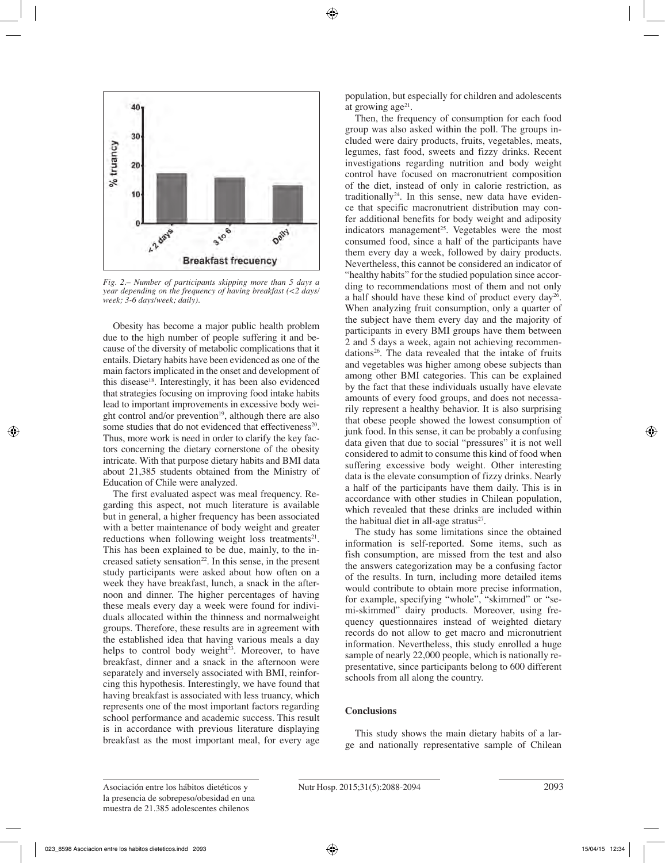

*Fig. 2.– Number of participants skipping more than 5 days a year depending on the frequency of having breakfast (<2 days/ week; 3-6 days/week; daily).*

Obesity has become a major public health problem due to the high number of people suffering it and because of the diversity of metabolic complications that it entails. Dietary habits have been evidenced as one of the main factors implicated in the onset and development of this disease18. Interestingly, it has been also evidenced that strategies focusing on improving food intake habits lead to important improvements in excessive body weight control and/or prevention<sup>19</sup>, although there are also some studies that do not evidenced that effectiveness $20$ . Thus, more work is need in order to clarify the key factors concerning the dietary cornerstone of the obesity intricate. With that purpose dietary habits and BMI data about 21,385 students obtained from the Ministry of Education of Chile were analyzed.

The first evaluated aspect was meal frequency. Regarding this aspect, not much literature is available but in general, a higher frequency has been associated with a better maintenance of body weight and greater reductions when following weight loss treatments<sup>21</sup>. This has been explained to be due, mainly, to the increased satiety sensation<sup>22</sup>. In this sense, in the present study participants were asked about how often on a week they have breakfast, lunch, a snack in the afternoon and dinner. The higher percentages of having these meals every day a week were found for individuals allocated within the thinness and normalweight groups. Therefore, these results are in agreement with the established idea that having various meals a day helps to control body weight<sup>23</sup>. Moreover, to have breakfast, dinner and a snack in the afternoon were separately and inversely associated with BMI, reinforcing this hypothesis. Interestingly, we have found that having breakfast is associated with less truancy, which represents one of the most important factors regarding school performance and academic success. This result is in accordance with previous literature displaying breakfast as the most important meal, for every age population, but especially for children and adolescents at growing  $age<sup>21</sup>$ .

Then, the frequency of consumption for each food group was also asked within the poll. The groups included were dairy products, fruits, vegetables, meats, legumes, fast food, sweets and fizzy drinks. Recent investigations regarding nutrition and body weight control have focused on macronutrient composition of the diet, instead of only in calorie restriction, as traditionally<sup>24</sup>. In this sense, new data have evidence that specific macronutrient distribution may confer additional benefits for body weight and adiposity indicators management<sup>25</sup>. Vegetables were the most consumed food, since a half of the participants have them every day a week, followed by dairy products. Nevertheless, this cannot be considered an indicator of "healthy habits" for the studied population since according to recommendations most of them and not only a half should have these kind of product every day26. When analyzing fruit consumption, only a quarter of the subject have them every day and the majority of participants in every BMI groups have them between 2 and 5 days a week, again not achieving recommendations<sup>26</sup>. The data revealed that the intake of fruits and vegetables was higher among obese subjects than among other BMI categories. This can be explained by the fact that these individuals usually have elevate amounts of every food groups, and does not necessarily represent a healthy behavior. It is also surprising that obese people showed the lowest consumption of junk food. In this sense, it can be probably a confusing data given that due to social "pressures" it is not well considered to admit to consume this kind of food when suffering excessive body weight. Other interesting data is the elevate consumption of fizzy drinks. Nearly a half of the participants have them daily. This is in accordance with other studies in Chilean population, which revealed that these drinks are included within the habitual diet in all-age stratus $27$ .

The study has some limitations since the obtained information is self-reported. Some items, such as fish consumption, are missed from the test and also the answers categorization may be a confusing factor of the results. In turn, including more detailed items would contribute to obtain more precise information, for example, specifying "whole", "skimmed" or "semi-skimmed" dairy products. Moreover, using frequency questionnaires instead of weighted dietary records do not allow to get macro and micronutrient information. Nevertheless, this study enrolled a huge sample of nearly 22,000 people, which is nationally representative, since participants belong to 600 different schools from all along the country.

#### **Conclusions**

This study shows the main dietary habits of a large and nationally representative sample of Chilean